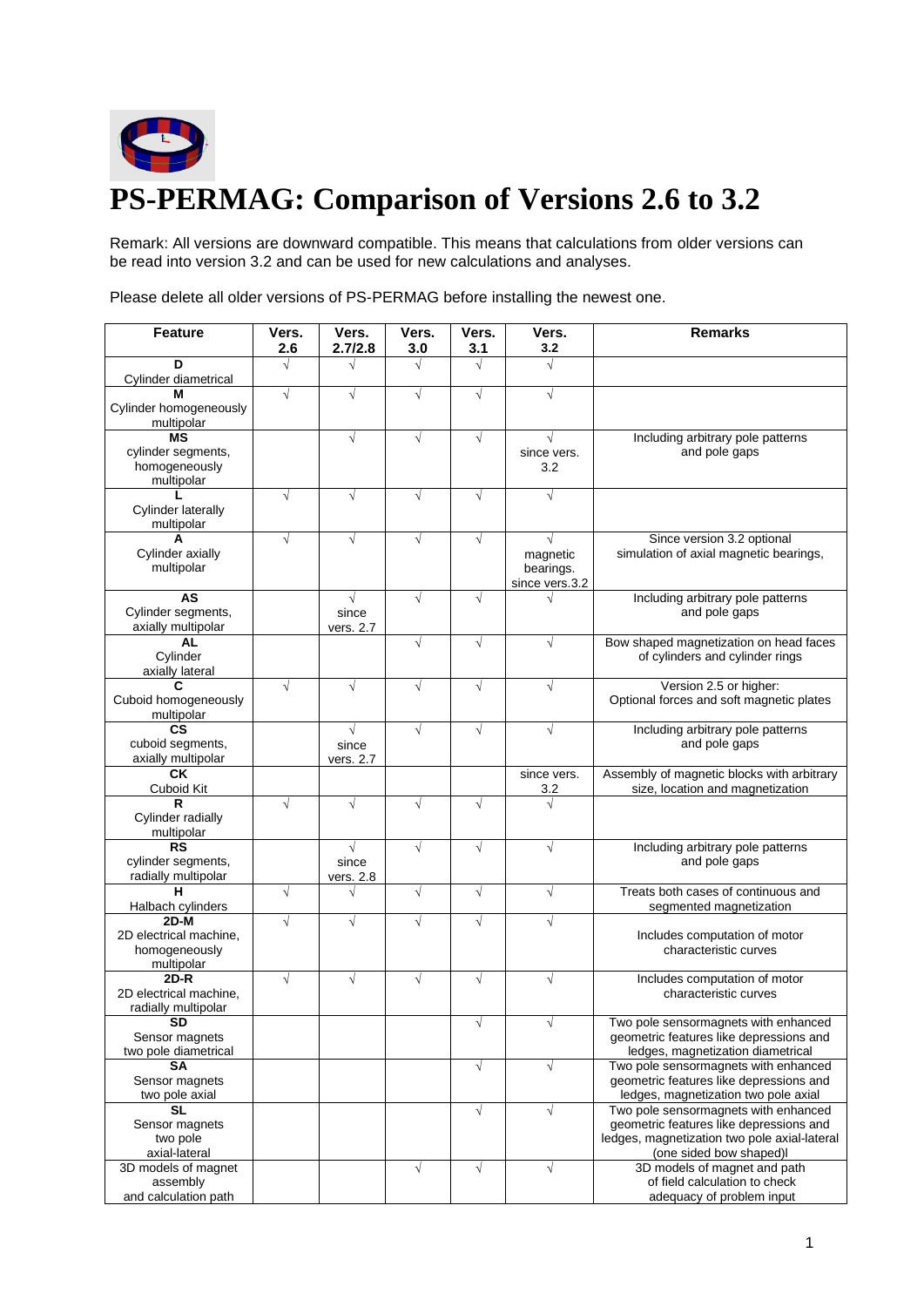

Remark: All versions are downward compatible. This means that calculations from older versions can be read into version 3.2 and can be used for new calculations and analyses.

**Feature Vers. 2.6 Vers. 2.7/2.8 Vers. 3.0 Vers. 3.1 Vers. 3.2 Remarks D** Cylinder diametrical **M** Cylinder homogeneously multipolar **MS** cylinder segments, homogeneously multipolar  $\sqrt{2}$   $\sqrt{2}$   $\sqrt{2}$ since vers. 3.2 Including arbitrary pole patterns and pole gaps **L** Cylinder laterally multipolar **A** Cylinder axially multipolar magnetic bearings. since vers.3.2 Since version 3.2 optional simulation of axial magnetic bearings, **AS** Cylinder segments, axially multipolar  $\sqrt{ }$ since vers. 2.7 Including arbitrary pole patterns and pole gaps **AL** Cylinder axially lateral Bow shaped magnetization on head faces of cylinders and cylinder rings **C** Cuboid homogeneously multipolar  $\sqrt{1}$   $\sqrt{1}$   $\sqrt{1}$   $\sqrt{1}$   $\sqrt{1}$  Version 2.5 or higher: Optional forces and soft magnetic plates **CS** cuboid segments, axially multipolar  $\sqrt{ }$ since vers. 2.7 Including arbitrary pole patterns and pole gaps **CK** Cuboid Kit since vers. 3.2 Assembly of magnetic blocks with arbitrary size, location and magnetization **R** Cylinder radially multipolar **RS** cylinder segments, radially multipolar  $\sqrt{ }$ since vers. 2.8  $\sqrt{1 + 1}$   $\sqrt{1 + 1}$  Including arbitrary pole patterns and pole gaps **H** Halbach cylinders Treats both cases of continuous and segmented magnetization **2D-M** 2D electrical machine, homogeneously multipolar Includes computation of motor characteristic curves **2D-R** 2D electrical machine, radially multipolar Includes computation of motor characteristic curves **SD** Sensor magnets two pole diametrical  $\sqrt{\phantom{a}}$   $\sqrt{\phantom{a}}$  Two pole sensormagnets with enhanced geometric features like depressions and ledges, magnetization diametrical **SA** Sensor magnets two pole axial Two pole sensormagnets with enhanced geometric features like depressions and ledges, magnetization two pole axial **SL** Sensor magnets two pole axial-lateral  $\sqrt{\frac{1}{\sqrt{1-\frac{1}{\sqrt{1-\frac{1}{\sqrt{1-\frac{1}{\sqrt{1-\frac{1}{\sqrt{1-\frac{1}{\sqrt{1-\frac{1}{\sqrt{1-\frac{1}{\sqrt{1-\frac{1}{\sqrt{1-\frac{1}{\sqrt{1-\frac{1}{\sqrt{1-\frac{1}{\sqrt{1-\frac{1}{\sqrt{1-\frac{1}{\sqrt{1-\frac{1}{\sqrt{1-\frac{1}{\sqrt{1-\frac{1}{\sqrt{1-\frac{1}{\sqrt{1-\frac{1}{\sqrt{1-\frac{1}{\sqrt{1-\frac{1}{\sqrt{1-\frac{1}{\sqrt{1-\frac{1}{\sqrt{1-\frac{1}{\sqrt{1-\frac$ geometric features like depressions and ledges, magnetization two pole axial-lateral (one sided bow shaped)l 3D models of magnet assembly and calculation path  $\sqrt{)}$   $\sqrt{}$  3D models of magnet and path of field calculation to check adequacy of problem input

Please delete all older versions of PS-PERMAG before installing the newest one.